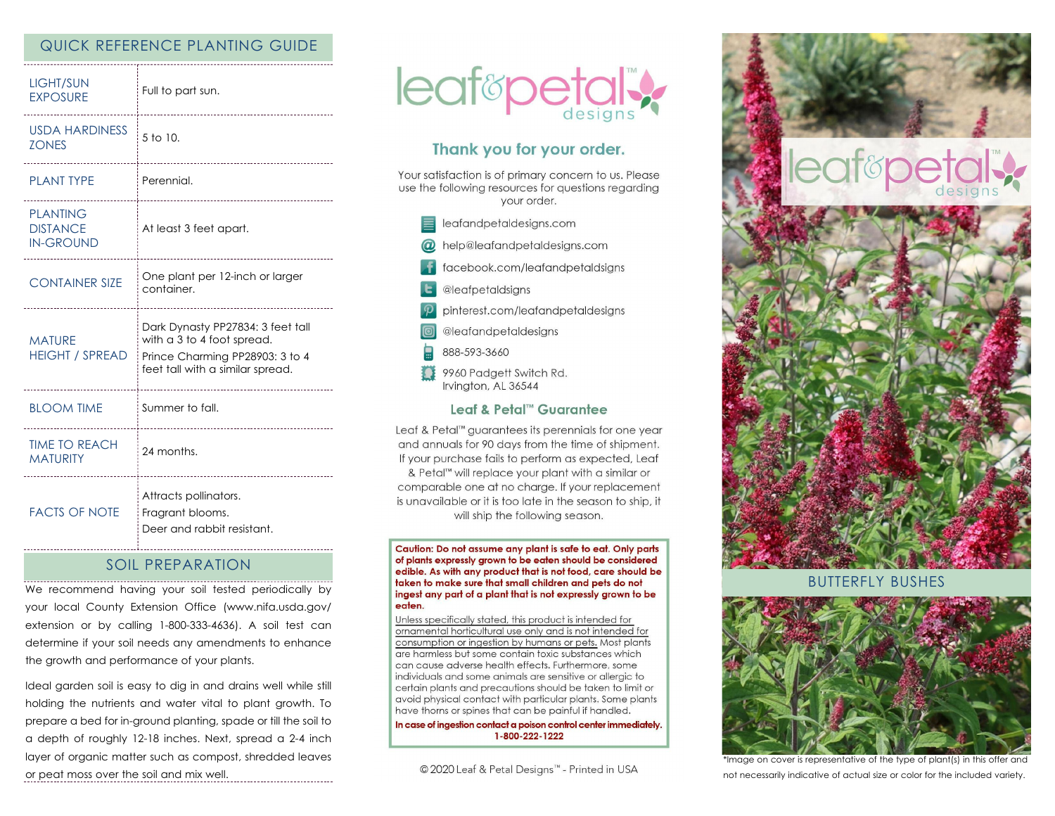## QUICK REFERENCE PLANTING GUIDE

| <b>LIGHT/SUN</b><br><b>EXPOSURE</b>                    | Full to part sun.                                                                                                                      |
|--------------------------------------------------------|----------------------------------------------------------------------------------------------------------------------------------------|
| <b>USDA HARDINESS</b><br><b>ZONES</b>                  | 5 to 10.                                                                                                                               |
| <b>PLANT TYPE</b>                                      | Perennial.                                                                                                                             |
| <b>PLANTING</b><br><b>DISTANCE</b><br><b>IN-GROUND</b> | At least 3 feet apart.                                                                                                                 |
| <b>CONTAINER SIZE</b>                                  | One plant per 12-inch or larger<br>container.                                                                                          |
| <b>MATURE</b><br><b>HEIGHT / SPREAD</b>                | Dark Dynasty PP27834: 3 feet tall<br>with a 3 to 4 foot spread.<br>Prince Charming PP28903: 3 to 4<br>feet tall with a similar spread. |
| <b>BLOOM TIME</b>                                      | Summer to fall.                                                                                                                        |
| <b>TIME TO REACH</b><br><b>MATURITY</b>                | 24 months.                                                                                                                             |
| <b>FACTS OF NOTE</b>                                   | Attracts pollinators.<br>Fragrant blooms.<br>Deer and rabbit resistant.                                                                |

## SOIL PREPARATION

We recommend having your soil tested periodically by your local County Extension Office (www.nifa.usda.gov/ extension or by calling 1-800-333-4636). A soil test can determine if your soil needs any amendments to enhance the growth and performance of your plants.

Ideal garden soil is easy to dig in and drains well while still holding the nutrients and water vital to plant growth. To prepare a bed for in-ground planting, spade or till the soil to a depth of roughly 12-18 inches. Next, spread a 2-4 inch layer of organic matter such as compost, shredded leaves or peat moss over the soil and mix well.



# Thank you for your order.

Your satisfaction is of primary concern to us. Please use the following resources for questions regarding vour order.

| leafandpetaldesigns.com |
|-------------------------|
|                         |

- @ help@leafandpetaldesigns.com
	- facebook.com/leafandpetaldsigns
- **L** @leafpetaldsigns
- pinterest.com/leafandpetaldesigns
- @leafandpetaldesigns
- 888-593-3660
- \$ \$ 9960 Padgett Switch Rd. Irvington, AL 36544

### Leaf & Petal™ Guarantee

Leaf & Petal™ guarantees its perennials for one year and annuals for 90 days from the time of shipment. If your purchase fails to perform as expected, Leaf & Petal<sup>™</sup> will replace your plant with a similar or comparable one at no charge. If your replacement is unavailable or it is too late in the season to ship, it will ship the following season.

Caution: Do not assume any plant is safe to eat. Only parts of plants expressly grown to be eaten should be considered edible. As with any product that is not food, care should be taken to make sure that small children and pets do not ingest any part of a plant that is not expressly grown to be eaten.

Unless specifically stated, this product is intended for ornamental horticultural use only and is not intended for consumption or ingestion by humans or pets. Most plants are harmless but some contain toxic substances which can cause adverse health effects. Furthermore, some individuals and some animals are sensitive or allergic to certain plants and precautions should be taken to limit or avoid physical contact with particular plants. Some plants have thorns or spines that can be painful if handled.

In case of ingestion contact a poison control center immediately. 1-800-222-1222

© 2020 Leaf & Petal Designs™ - Printed in USA



BUTTERFLY BUSHES



\*Image on cover is representative of the type of plant(s) in this offer and not necessarily indicative of actual size or color for the included variety.